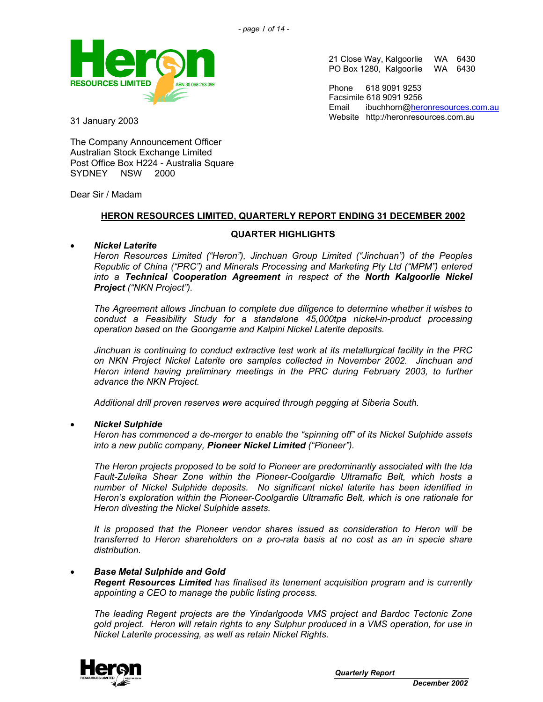

21 Close Way, Kalgoorlie WA 6430 PO Box 1280, Kalgoorlie WA 6430

Phone 618 9091 9253 Facsimile 618 9091 9256 Email ibuchhorn@heronresources.com.au Website http://heronresources.com.au

31 January 2003

The Company Announcement Officer Australian Stock Exchange Limited Post Office Box H224 - Australia Square SYDNEY NSW 2000

Dear Sir / Madam

### **HERON RESOURCES LIMITED, QUARTERLY REPORT ENDING 31 DECEMBER 2002**

### **QUARTER HIGHLIGHTS**

### • *Nickel Laterite*

*Heron Resources Limited ("Heron"), Jinchuan Group Limited ("Jinchuan") of the Peoples Republic of China ("PRC") and Minerals Processing and Marketing Pty Ltd ("MPM") entered into a Technical Cooperation Agreement in respect of the North Kalgoorlie Nickel Project ("NKN Project").* 

*The Agreement allows Jinchuan to complete due diligence to determine whether it wishes to conduct a Feasibility Study for a standalone 45,000tpa nickel-in-product processing operation based on the Goongarrie and Kalpini Nickel Laterite deposits.* 

*Jinchuan is continuing to conduct extractive test work at its metallurgical facility in the PRC on NKN Project Nickel Laterite ore samples collected in November 2002. Jinchuan and Heron intend having preliminary meetings in the PRC during February 2003, to further advance the NKN Project.* 

*Additional drill proven reserves were acquired through pegging at Siberia South.* 

### • *Nickel Sulphide*

*Heron has commenced a de-merger to enable the "spinning off" of its Nickel Sulphide assets into a new public company, Pioneer Nickel Limited ("Pioneer").* 

*The Heron projects proposed to be sold to Pioneer are predominantly associated with the Ida Fault-Zuleika Shear Zone within the Pioneer-Coolgardie Ultramafic Belt, which hosts a number of Nickel Sulphide deposits. No significant nickel laterite has been identified in Heron's exploration within the Pioneer-Coolgardie Ultramafic Belt, which is one rationale for Heron divesting the Nickel Sulphide assets.* 

*It is proposed that the Pioneer vendor shares issued as consideration to Heron will be transferred to Heron shareholders on a pro-rata basis at no cost as an in specie share distribution.* 

### • *Base Metal Sulphide and Gold*

*Regent Resources Limited has finalised its tenement acquisition program and is currently appointing a CEO to manage the public listing process.* 

*The leading Regent projects are the Yindarlgooda VMS project and Bardoc Tectonic Zone gold project. Heron will retain rights to any Sulphur produced in a VMS operation, for use in Nickel Laterite processing, as well as retain Nickel Rights.* 

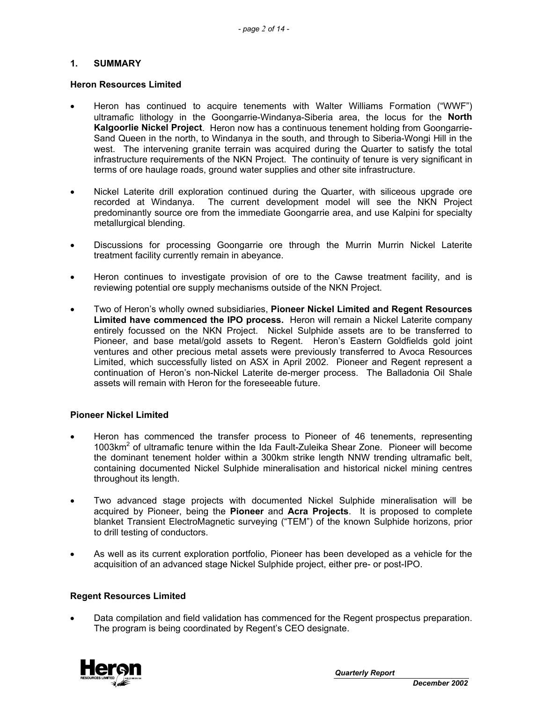### **1. SUMMARY**

#### **Heron Resources Limited**

- Heron has continued to acquire tenements with Walter Williams Formation ("WWF") ultramafic lithology in the Goongarrie-Windanya-Siberia area, the locus for the **North Kalgoorlie Nickel Project**. Heron now has a continuous tenement holding from Goongarrie-Sand Queen in the north, to Windanya in the south, and through to Siberia-Wongi Hill in the west. The intervening granite terrain was acquired during the Quarter to satisfy the total infrastructure requirements of the NKN Project. The continuity of tenure is very significant in terms of ore haulage roads, ground water supplies and other site infrastructure.
- Nickel Laterite drill exploration continued during the Quarter, with siliceous upgrade ore recorded at Windanya. The current development model will see the NKN Project predominantly source ore from the immediate Goongarrie area, and use Kalpini for specialty metallurgical blending.
- Discussions for processing Goongarrie ore through the Murrin Murrin Nickel Laterite treatment facility currently remain in abeyance.
- Heron continues to investigate provision of ore to the Cawse treatment facility, and is reviewing potential ore supply mechanisms outside of the NKN Project.
- Two of Heron's wholly owned subsidiaries, **Pioneer Nickel Limited and Regent Resources Limited have commenced the IPO process.** Heron will remain a Nickel Laterite company entirely focussed on the NKN Project. Nickel Sulphide assets are to be transferred to Pioneer, and base metal/gold assets to Regent. Heron's Eastern Goldfields gold joint ventures and other precious metal assets were previously transferred to Avoca Resources Limited, which successfully listed on ASX in April 2002. Pioneer and Regent represent a continuation of Heron's non-Nickel Laterite de-merger process. The Balladonia Oil Shale assets will remain with Heron for the foreseeable future.

### **Pioneer Nickel Limited**

- Heron has commenced the transfer process to Pioneer of 46 tenements, representing 1003km<sup>2</sup> of ultramafic tenure within the Ida Fault-Zuleika Shear Zone. Pioneer will become the dominant tenement holder within a 300km strike length NNW trending ultramafic belt, containing documented Nickel Sulphide mineralisation and historical nickel mining centres throughout its length.
- Two advanced stage projects with documented Nickel Sulphide mineralisation will be acquired by Pioneer, being the **Pioneer** and **Acra Projects**. It is proposed to complete blanket Transient ElectroMagnetic surveying ("TEM") of the known Sulphide horizons, prior to drill testing of conductors.
- As well as its current exploration portfolio, Pioneer has been developed as a vehicle for the acquisition of an advanced stage Nickel Sulphide project, either pre- or post-IPO.

### **Regent Resources Limited**

• Data compilation and field validation has commenced for the Regent prospectus preparation. The program is being coordinated by Regent's CEO designate.

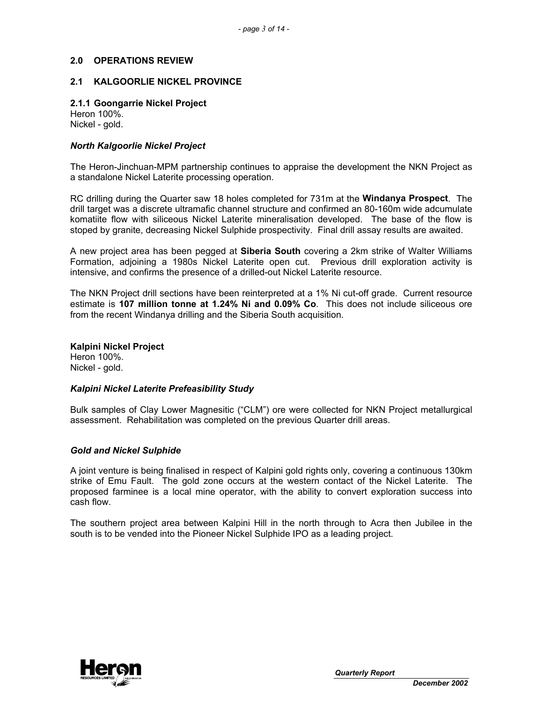### **2.0 OPERATIONS REVIEW**

#### **2.1 KALGOORLIE NICKEL PROVINCE**

### **2.1.1 Goongarrie Nickel Project**

Heron 100%. Nickel - gold.

#### *North Kalgoorlie Nickel Project*

The Heron-Jinchuan-MPM partnership continues to appraise the development the NKN Project as a standalone Nickel Laterite processing operation.

RC drilling during the Quarter saw 18 holes completed for 731m at the **Windanya Prospect**. The drill target was a discrete ultramafic channel structure and confirmed an 80-160m wide adcumulate komatiite flow with siliceous Nickel Laterite mineralisation developed. The base of the flow is stoped by granite, decreasing Nickel Sulphide prospectivity. Final drill assay results are awaited.

A new project area has been pegged at **Siberia South** covering a 2km strike of Walter Williams Formation, adjoining a 1980s Nickel Laterite open cut. Previous drill exploration activity is intensive, and confirms the presence of a drilled-out Nickel Laterite resource.

The NKN Project drill sections have been reinterpreted at a 1% Ni cut-off grade. Current resource estimate is **107 million tonne at 1.24% Ni and 0.09% Co**. This does not include siliceous ore from the recent Windanya drilling and the Siberia South acquisition.

**Kalpini Nickel Project** 

Heron 100%. Nickel - gold.

#### *Kalpini Nickel Laterite Prefeasibility Study*

Bulk samples of Clay Lower Magnesitic ("CLM") ore were collected for NKN Project metallurgical assessment. Rehabilitation was completed on the previous Quarter drill areas.

#### *Gold and Nickel Sulphide*

A joint venture is being finalised in respect of Kalpini gold rights only, covering a continuous 130km strike of Emu Fault. The gold zone occurs at the western contact of the Nickel Laterite. The proposed farminee is a local mine operator, with the ability to convert exploration success into cash flow.

The southern project area between Kalpini Hill in the north through to Acra then Jubilee in the south is to be vended into the Pioneer Nickel Sulphide IPO as a leading project.

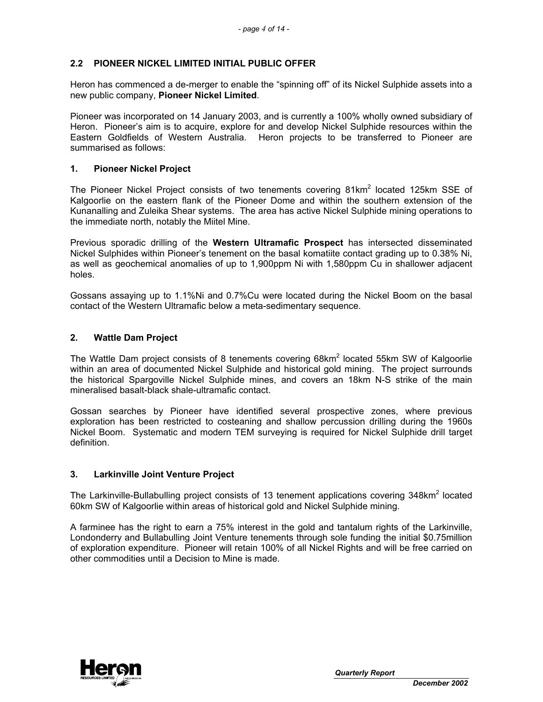# **2.2 PIONEER NICKEL LIMITED INITIAL PUBLIC OFFER**

Heron has commenced a de-merger to enable the "spinning off" of its Nickel Sulphide assets into a new public company, **Pioneer Nickel Limited**.

Pioneer was incorporated on 14 January 2003, and is currently a 100% wholly owned subsidiary of Heron. Pioneer's aim is to acquire, explore for and develop Nickel Sulphide resources within the Eastern Goldfields of Western Australia. Heron projects to be transferred to Pioneer are summarised as follows:

### **1. Pioneer Nickel Project**

The Pioneer Nickel Project consists of two tenements covering 81km<sup>2</sup> located 125km SSE of Kalgoorlie on the eastern flank of the Pioneer Dome and within the southern extension of the Kunanalling and Zuleika Shear systems. The area has active Nickel Sulphide mining operations to the immediate north, notably the Miitel Mine.

Previous sporadic drilling of the **Western Ultramafic Prospect** has intersected disseminated Nickel Sulphides within Pioneer's tenement on the basal komatiite contact grading up to 0.38% Ni, as well as geochemical anomalies of up to 1,900ppm Ni with 1,580ppm Cu in shallower adjacent holes.

Gossans assaying up to 1.1%Ni and 0.7%Cu were located during the Nickel Boom on the basal contact of the Western Ultramafic below a meta-sedimentary sequence.

#### **2. Wattle Dam Project**

The Wattle Dam project consists of 8 tenements covering  $68$ km<sup>2</sup> located 55km SW of Kalgoorlie within an area of documented Nickel Sulphide and historical gold mining. The project surrounds the historical Spargoville Nickel Sulphide mines, and covers an 18km N-S strike of the main mineralised basalt-black shale-ultramafic contact.

Gossan searches by Pioneer have identified several prospective zones, where previous exploration has been restricted to costeaning and shallow percussion drilling during the 1960s Nickel Boom. Systematic and modern TEM surveying is required for Nickel Sulphide drill target definition.

#### **3. Larkinville Joint Venture Project**

The Larkinville-Bullabulling project consists of 13 tenement applications covering  $348$ km<sup>2</sup> located 60km SW of Kalgoorlie within areas of historical gold and Nickel Sulphide mining.

A farminee has the right to earn a 75% interest in the gold and tantalum rights of the Larkinville, Londonderry and Bullabulling Joint Venture tenements through sole funding the initial \$0.75million of exploration expenditure. Pioneer will retain 100% of all Nickel Rights and will be free carried on other commodities until a Decision to Mine is made.

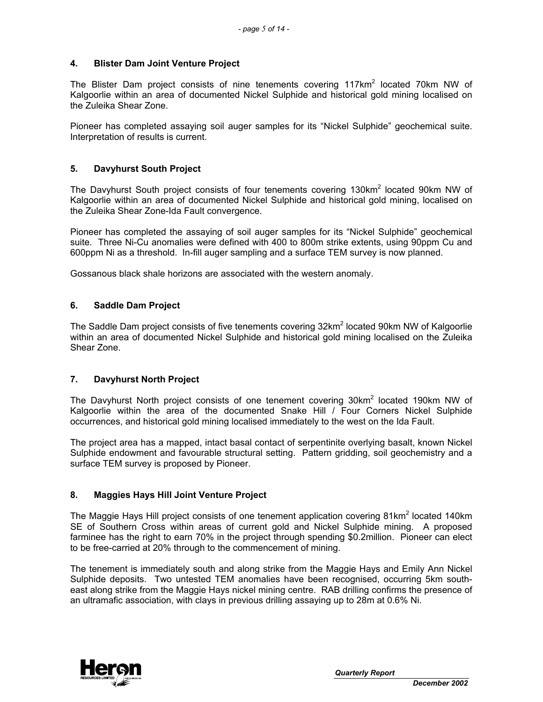### **4. Blister Dam Joint Venture Project**

The Blister Dam project consists of nine tenements covering 117 $km^2$  located 70 $km$  NW of Kalgoorlie within an area of documented Nickel Sulphide and historical gold mining localised on the Zuleika Shear Zone.

Pioneer has completed assaying soil auger samples for its "Nickel Sulphide" geochemical suite. Interpretation of results is current.

### **5. Davyhurst South Project**

The Davyhurst South project consists of four tenements covering 130km<sup>2</sup> located 90km NW of Kalgoorlie within an area of documented Nickel Sulphide and historical gold mining, localised on the Zuleika Shear Zone-Ida Fault convergence.

Pioneer has completed the assaying of soil auger samples for its "Nickel Sulphide" geochemical suite. Three Ni-Cu anomalies were defined with 400 to 800m strike extents, using 90ppm Cu and 600ppm Ni as a threshold. In-fill auger sampling and a surface TEM survey is now planned.

Gossanous black shale horizons are associated with the western anomaly.

### **6. Saddle Dam Project**

The Saddle Dam project consists of five tenements covering 32km<sup>2</sup> located 90km NW of Kalgoorlie within an area of documented Nickel Sulphide and historical gold mining localised on the Zuleika Shear Zone.

### **7. Davyhurst North Project**

The Davyhurst North project consists of one tenement covering 30km<sup>2</sup> located 190km NW of Kalgoorlie within the area of the documented Snake Hill / Four Corners Nickel Sulphide occurrences, and historical gold mining localised immediately to the west on the Ida Fault.

The project area has a mapped, intact basal contact of serpentinite overlying basalt, known Nickel Sulphide endowment and favourable structural setting. Pattern gridding, soil geochemistry and a surface TEM survey is proposed by Pioneer.

### **8. Maggies Hays Hill Joint Venture Project**

The Maggie Hays Hill project consists of one tenement application covering 81km<sup>2</sup> located 140km SE of Southern Cross within areas of current gold and Nickel Sulphide mining. A proposed farminee has the right to earn 70% in the project through spending \$0.2million. Pioneer can elect to be free-carried at 20% through to the commencement of mining.

The tenement is immediately south and along strike from the Maggie Hays and Emily Ann Nickel Sulphide deposits. Two untested TEM anomalies have been recognised, occurring 5km southeast along strike from the Maggie Hays nickel mining centre. RAB drilling confirms the presence of an ultramafic association, with clays in previous drilling assaying up to 28m at 0.6% Ni.

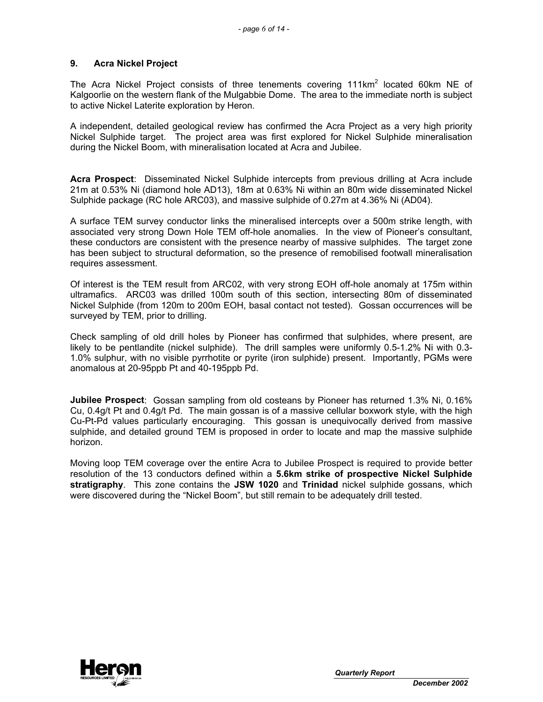### **9. Acra Nickel Project**

The Acra Nickel Project consists of three tenements covering  $111$ km<sup>2</sup> located 60km NE of Kalgoorlie on the western flank of the Mulgabbie Dome. The area to the immediate north is subject to active Nickel Laterite exploration by Heron.

A independent, detailed geological review has confirmed the Acra Project as a very high priority Nickel Sulphide target. The project area was first explored for Nickel Sulphide mineralisation during the Nickel Boom, with mineralisation located at Acra and Jubilee.

**Acra Prospect**: Disseminated Nickel Sulphide intercepts from previous drilling at Acra include 21m at 0.53% Ni (diamond hole AD13), 18m at 0.63% Ni within an 80m wide disseminated Nickel Sulphide package (RC hole ARC03), and massive sulphide of 0.27m at 4.36% Ni (AD04).

A surface TEM survey conductor links the mineralised intercepts over a 500m strike length, with associated very strong Down Hole TEM off-hole anomalies. In the view of Pioneer's consultant, these conductors are consistent with the presence nearby of massive sulphides. The target zone has been subject to structural deformation, so the presence of remobilised footwall mineralisation requires assessment.

Of interest is the TEM result from ARC02, with very strong EOH off-hole anomaly at 175m within ultramafics. ARC03 was drilled 100m south of this section, intersecting 80m of disseminated Nickel Sulphide (from 120m to 200m EOH, basal contact not tested). Gossan occurrences will be surveyed by TEM, prior to drilling.

Check sampling of old drill holes by Pioneer has confirmed that sulphides, where present, are likely to be pentlandite (nickel sulphide). The drill samples were uniformly 0.5-1.2% Ni with 0.3- 1.0% sulphur, with no visible pyrrhotite or pyrite (iron sulphide) present. Importantly, PGMs were anomalous at 20-95ppb Pt and 40-195ppb Pd.

**Jubilee Prospect**: Gossan sampling from old costeans by Pioneer has returned 1.3% Ni, 0.16% Cu, 0.4g/t Pt and 0.4g/t Pd. The main gossan is of a massive cellular boxwork style, with the high Cu-Pt-Pd values particularly encouraging. This gossan is unequivocally derived from massive sulphide, and detailed ground TEM is proposed in order to locate and map the massive sulphide horizon.

Moving loop TEM coverage over the entire Acra to Jubilee Prospect is required to provide better resolution of the 13 conductors defined within a **5.6km strike of prospective Nickel Sulphide stratigraphy**. This zone contains the **JSW 1020** and **Trinidad** nickel sulphide gossans, which were discovered during the "Nickel Boom", but still remain to be adequately drill tested.

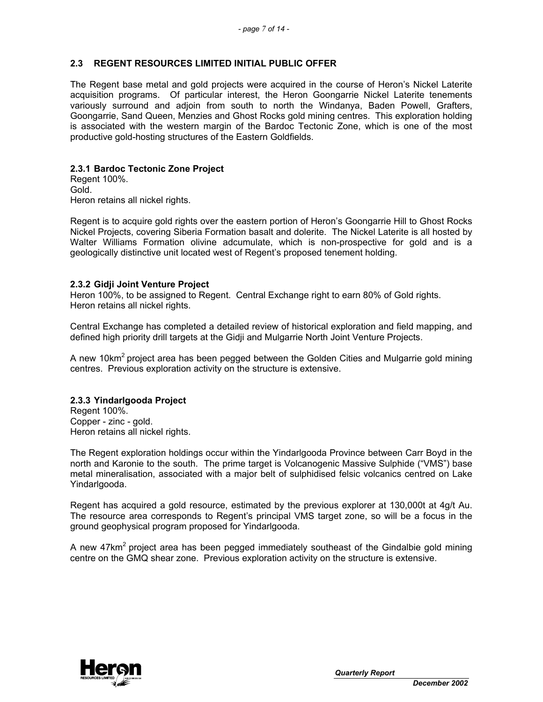### **2.3 REGENT RESOURCES LIMITED INITIAL PUBLIC OFFER**

The Regent base metal and gold projects were acquired in the course of Heron's Nickel Laterite acquisition programs. Of particular interest, the Heron Goongarrie Nickel Laterite tenements variously surround and adjoin from south to north the Windanya, Baden Powell, Grafters, Goongarrie, Sand Queen, Menzies and Ghost Rocks gold mining centres. This exploration holding is associated with the western margin of the Bardoc Tectonic Zone, which is one of the most productive gold-hosting structures of the Eastern Goldfields.

### **2.3.1 Bardoc Tectonic Zone Project**

Regent 100%. Gold. Heron retains all nickel rights.

Regent is to acquire gold rights over the eastern portion of Heron's Goongarrie Hill to Ghost Rocks Nickel Projects, covering Siberia Formation basalt and dolerite. The Nickel Laterite is all hosted by Walter Williams Formation olivine adcumulate, which is non-prospective for gold and is a geologically distinctive unit located west of Regent's proposed tenement holding.

### **2.3.2 Gidji Joint Venture Project**

Heron 100%, to be assigned to Regent. Central Exchange right to earn 80% of Gold rights. Heron retains all nickel rights.

Central Exchange has completed a detailed review of historical exploration and field mapping, and defined high priority drill targets at the Gidji and Mulgarrie North Joint Venture Projects.

A new 10km<sup>2</sup> project area has been pegged between the Golden Cities and Mulgarrie gold mining centres. Previous exploration activity on the structure is extensive.

### **2.3.3 Yindarlgooda Project**

Regent 100%. Copper - zinc - gold. Heron retains all nickel rights.

The Regent exploration holdings occur within the Yindarlgooda Province between Carr Boyd in the north and Karonie to the south. The prime target is Volcanogenic Massive Sulphide ("VMS") base metal mineralisation, associated with a major belt of sulphidised felsic volcanics centred on Lake Yindarlgooda.

Regent has acquired a gold resource, estimated by the previous explorer at 130,000t at 4g/t Au. The resource area corresponds to Regent's principal VMS target zone, so will be a focus in the ground geophysical program proposed for Yindarlgooda.

A new 47km<sup>2</sup> project area has been pegged immediately southeast of the Gindalbie gold mining centre on the GMQ shear zone. Previous exploration activity on the structure is extensive.

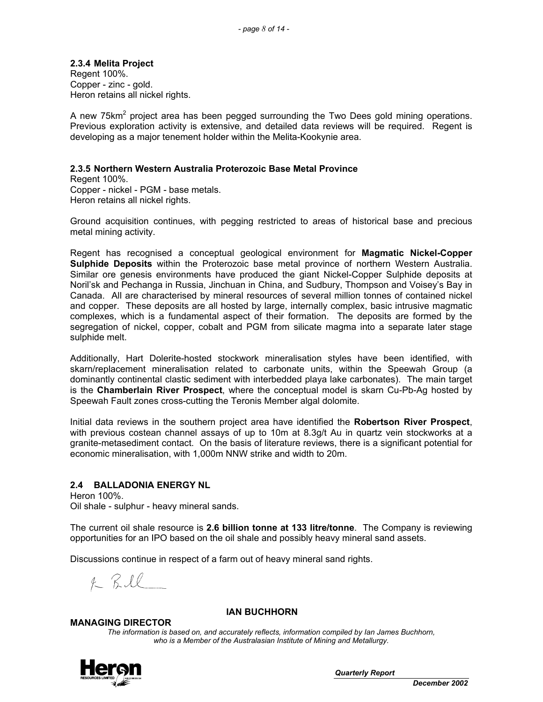# **2.3.4 Melita Project**

Regent 100%. Copper - zinc - gold. Heron retains all nickel rights.

A new 75 $km^2$  project area has been pegged surrounding the Two Dees gold mining operations. Previous exploration activity is extensive, and detailed data reviews will be required. Regent is developing as a major tenement holder within the Melita-Kookynie area.

### **2.3.5 Northern Western Australia Proterozoic Base Metal Province**

Regent 100%. Copper - nickel - PGM - base metals. Heron retains all nickel rights.

Ground acquisition continues, with pegging restricted to areas of historical base and precious metal mining activity.

Regent has recognised a conceptual geological environment for **Magmatic Nickel-Copper Sulphide Deposits** within the Proterozoic base metal province of northern Western Australia. Similar ore genesis environments have produced the giant Nickel-Copper Sulphide deposits at Noril'sk and Pechanga in Russia, Jinchuan in China, and Sudbury, Thompson and Voisey's Bay in Canada. All are characterised by mineral resources of several million tonnes of contained nickel and copper. These deposits are all hosted by large, internally complex, basic intrusive magmatic complexes, which is a fundamental aspect of their formation. The deposits are formed by the segregation of nickel, copper, cobalt and PGM from silicate magma into a separate later stage sulphide melt.

Additionally, Hart Dolerite-hosted stockwork mineralisation styles have been identified, with skarn/replacement mineralisation related to carbonate units, within the Speewah Group (a dominantly continental clastic sediment with interbedded playa lake carbonates). The main target is the **Chamberlain River Prospect**, where the conceptual model is skarn Cu-Pb-Ag hosted by Speewah Fault zones cross-cutting the Teronis Member algal dolomite.

Initial data reviews in the southern project area have identified the **Robertson River Prospect**, with previous costean channel assays of up to 10m at 8.3g/t Au in quartz vein stockworks at a granite-metasediment contact. On the basis of literature reviews, there is a significant potential for economic mineralisation, with 1,000m NNW strike and width to 20m.

# **2.4 BALLADONIA ENERGY NL**

Heron 100%. Oil shale - sulphur - heavy mineral sands.

The current oil shale resource is **2.6 billion tonne at 133 litre/tonne**. The Company is reviewing opportunities for an IPO based on the oil shale and possibly heavy mineral sand assets.

Discussions continue in respect of a farm out of heavy mineral sand rights.

 $R R U$ 

#### **MANAGING DIRECTOR**

#### **IAN BUCHHORN**

*The information is based on, and accurately reflects, information compiled by Ian James Buchhorn, who is a Member of the Australasian Institute of Mining and Metallurgy.* 

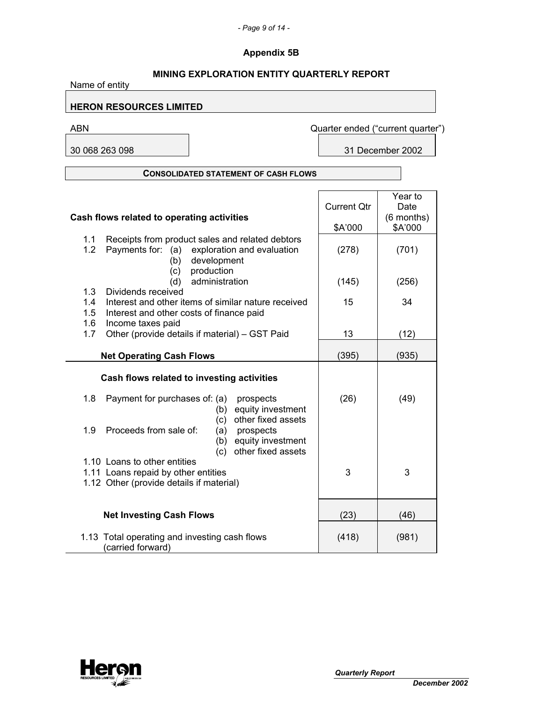# *- Page 9 of 14 -*

# **Appendix 5B**

| <b>MINING EXPLORATION ENTITY QUARTERLY REPORT</b><br>Name of entity                                                                                       |                    |                                   |  |
|-----------------------------------------------------------------------------------------------------------------------------------------------------------|--------------------|-----------------------------------|--|
| <b>HERON RESOURCES LIMITED</b>                                                                                                                            |                    |                                   |  |
| <b>ABN</b>                                                                                                                                                |                    | Quarter ended ("current quarter") |  |
| 30 068 263 098                                                                                                                                            |                    | 31 December 2002                  |  |
| <b>CONSOLIDATED STATEMENT OF CASH FLOWS</b>                                                                                                               |                    |                                   |  |
| Cash flows related to operating activities                                                                                                                | <b>Current Qtr</b> | Year to<br>Date<br>(6 months)     |  |
| Receipts from product sales and related debtors<br>1.1<br>1.2<br>Payments for: (a) exploration and evaluation                                             | \$A'000<br>(278)   | \$A'000<br>(701)                  |  |
| development<br>(b)<br>production<br>(c)<br>administration<br>(d)                                                                                          | (145)              | (256)                             |  |
| Dividends received<br>1.3<br>Interest and other items of similar nature received<br>1.4<br>Interest and other costs of finance paid<br>1.5                | 15                 | 34                                |  |
| 1.6<br>Income taxes paid<br>1.7<br>Other (provide details if material) - GST Paid                                                                         | 13                 | (12)                              |  |
| <b>Net Operating Cash Flows</b>                                                                                                                           | (395)              | (935)                             |  |
| Cash flows related to investing activities<br>1.8<br>Payment for purchases of: (a)<br>prospects                                                           | (26)               | (49)                              |  |
| equity investment<br>(b)<br>other fixed assets<br>(c)<br>Proceeds from sale of:<br>1.9<br>prospects<br>(a)<br>(b) equity investment<br>other fixed assets |                    |                                   |  |
| (c)<br>1.10 Loans to other entities<br>1.11 Loans repaid by other entities<br>1.12 Other (provide details if material)                                    | 3                  | 3                                 |  |
| <b>Net Investing Cash Flows</b>                                                                                                                           | (23)               | (46)                              |  |
| 1.13 Total operating and investing cash flows<br>(carried forward)                                                                                        | (418)              | (981)                             |  |

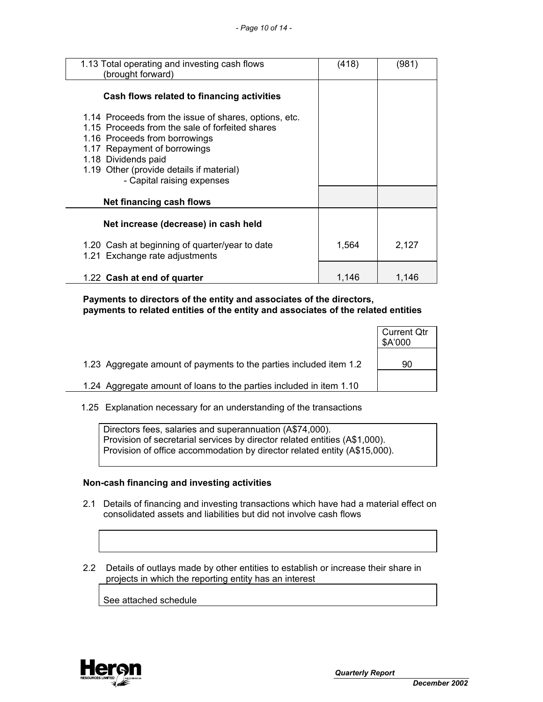| 1.13 Total operating and investing cash flows<br>(brought forward)                                                                                                                                                                                                         | (418) | (981) |
|----------------------------------------------------------------------------------------------------------------------------------------------------------------------------------------------------------------------------------------------------------------------------|-------|-------|
| Cash flows related to financing activities                                                                                                                                                                                                                                 |       |       |
| 1.14 Proceeds from the issue of shares, options, etc.<br>1.15 Proceeds from the sale of forfeited shares<br>1.16 Proceeds from borrowings<br>1.17 Repayment of borrowings<br>1.18 Dividends paid<br>1.19 Other (provide details if material)<br>- Capital raising expenses |       |       |
| Net financing cash flows                                                                                                                                                                                                                                                   |       |       |
| Net increase (decrease) in cash held                                                                                                                                                                                                                                       |       |       |
| 1.20 Cash at beginning of quarter/year to date<br>1.21 Exchange rate adjustments                                                                                                                                                                                           | 1,564 | 2,127 |
| 1.22 Cash at end of quarter                                                                                                                                                                                                                                                | 1,146 | 1,146 |

 **Payments to directors of the entity and associates of the directors, payments to related entities of the entity and associates of the related entities** 

|                                                                     | <b>Current Qtr</b><br>\$A'000 |
|---------------------------------------------------------------------|-------------------------------|
| 1.23 Aggregate amount of payments to the parties included item 1.2  | 90                            |
| 1.24 Aggregate amount of loans to the parties included in item 1.10 |                               |
|                                                                     |                               |

1.25 Explanation necessary for an understanding of the transactions

 Directors fees, salaries and superannuation (A\$74,000). Provision of secretarial services by director related entities (A\$1,000). Provision of office accommodation by director related entity (A\$15,000).

#### **Non-cash financing and investing activities**

- 2.1 Details of financing and investing transactions which have had a material effect on consolidated assets and liabilities but did not involve cash flows
- 2.2 Details of outlays made by other entities to establish or increase their share in projects in which the reporting entity has an interest

See attached schedule

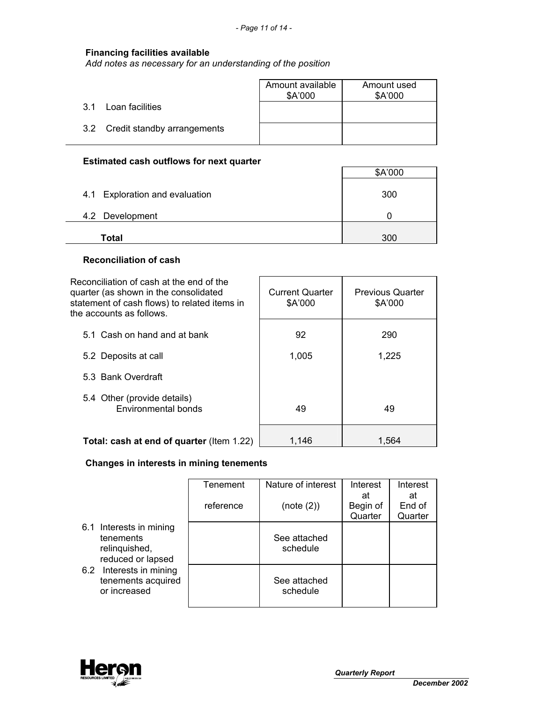### **Financing facilities available**

*Add notes as necessary for an understanding of the position*

|                                 | Amount available<br>\$A'000 | Amount used<br>\$A'000 |
|---------------------------------|-----------------------------|------------------------|
| Loan facilities<br>.3.1         |                             |                        |
| 3.2 Credit standby arrangements |                             |                        |

# **Estimated cash outflows for next quarter**

|                                | \$A'000 |
|--------------------------------|---------|
| 4.1 Exploration and evaluation | 300     |
| 4.2 Development                |         |
| Total                          | 300     |

### **Reconciliation of cash**

| Reconciliation of cash at the end of the<br>quarter (as shown in the consolidated<br>statement of cash flows) to related items in<br>the accounts as follows. | <b>Current Quarter</b><br>\$A'000 | <b>Previous Quarter</b><br>\$A'000 |
|---------------------------------------------------------------------------------------------------------------------------------------------------------------|-----------------------------------|------------------------------------|
| 5.1 Cash on hand and at bank                                                                                                                                  | 92                                | 290                                |
| 5.2 Deposits at call                                                                                                                                          | 1,005                             | 1,225                              |
| 5.3 Bank Overdraft                                                                                                                                            |                                   |                                    |
| 5.4 Other (provide details)<br>Environmental bonds                                                                                                            | 49                                | 49                                 |
| Total: cash at end of quarter (Item 1.22)                                                                                                                     | 1,146                             | 1,564                              |

# **Changes in interests in mining tenements**

|                                                                            | Tenement<br>reference | Nature of interest<br>(note (2)) | Interest<br>at<br>Begin of<br>Quarter | Interest<br>at<br>End of<br>Quarter |
|----------------------------------------------------------------------------|-----------------------|----------------------------------|---------------------------------------|-------------------------------------|
| 6.1 Interests in mining<br>tenements<br>relinquished,<br>reduced or lapsed |                       | See attached<br>schedule         |                                       |                                     |
| 6.2 Interests in mining<br>tenements acquired<br>or increased              |                       | See attached<br>schedule         |                                       |                                     |

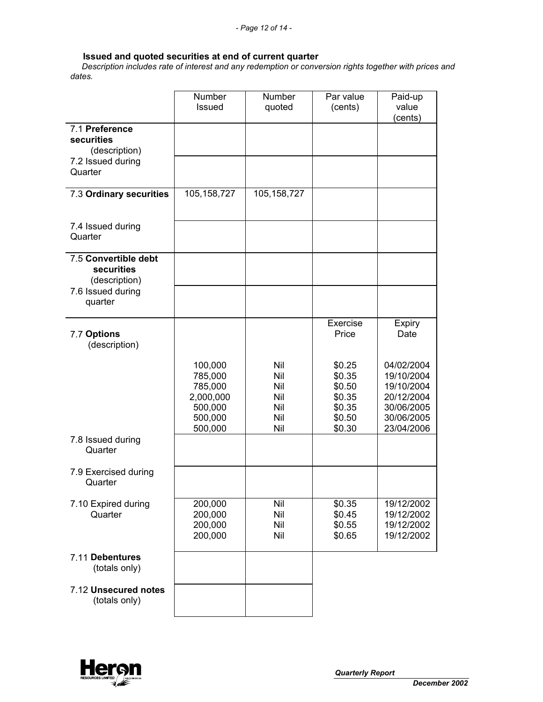#### **Issued and quoted securities at end of current quarter**

 *Description includes rate of interest and any redemption or conversion rights together with prices and dates.* 

|                                                     | Number<br>Issued                                                            | Number<br>quoted                              | Par value<br>(cents)                                               | Paid-up<br>value<br>(cents)                                                                    |
|-----------------------------------------------------|-----------------------------------------------------------------------------|-----------------------------------------------|--------------------------------------------------------------------|------------------------------------------------------------------------------------------------|
| 7.1 Preference<br>securities<br>(description)       |                                                                             |                                               |                                                                    |                                                                                                |
| 7.2 Issued during<br>Quarter                        |                                                                             |                                               |                                                                    |                                                                                                |
| 7.3 Ordinary securities                             | 105, 158, 727                                                               | 105, 158, 727                                 |                                                                    |                                                                                                |
| 7.4 Issued during<br>Quarter                        |                                                                             |                                               |                                                                    |                                                                                                |
| 7.5 Convertible debt<br>securities<br>(description) |                                                                             |                                               |                                                                    |                                                                                                |
| 7.6 Issued during<br>quarter                        |                                                                             |                                               |                                                                    |                                                                                                |
| 7.7 Options<br>(description)                        |                                                                             |                                               | Exercise<br>Price                                                  | Expiry<br>Date                                                                                 |
|                                                     | 100,000<br>785,000<br>785,000<br>2,000,000<br>500,000<br>500,000<br>500,000 | Nil<br>Nil<br>Nil<br>Nil<br>Nil<br>Nil<br>Nil | \$0.25<br>\$0.35<br>\$0.50<br>\$0.35<br>\$0.35<br>\$0.50<br>\$0.30 | 04/02/2004<br>19/10/2004<br>19/10/2004<br>20/12/2004<br>30/06/2005<br>30/06/2005<br>23/04/2006 |
| 7.8 Issued during<br>Quarter                        |                                                                             |                                               |                                                                    |                                                                                                |
| 7.9 Exercised during<br>Quarter                     |                                                                             |                                               |                                                                    |                                                                                                |
| 7.10 Expired during<br>Quarter                      | 200,000<br>200,000<br>200,000<br>200,000                                    | Nil<br>Nil<br>Nil<br>Nil                      | \$0.35<br>\$0.45<br>\$0.55<br>\$0.65                               | 19/12/2002<br>19/12/2002<br>19/12/2002<br>19/12/2002                                           |
| 7.11 Debentures<br>(totals only)                    |                                                                             |                                               |                                                                    |                                                                                                |
| 7.12 Unsecured notes<br>(totals only)               |                                                                             |                                               |                                                                    |                                                                                                |

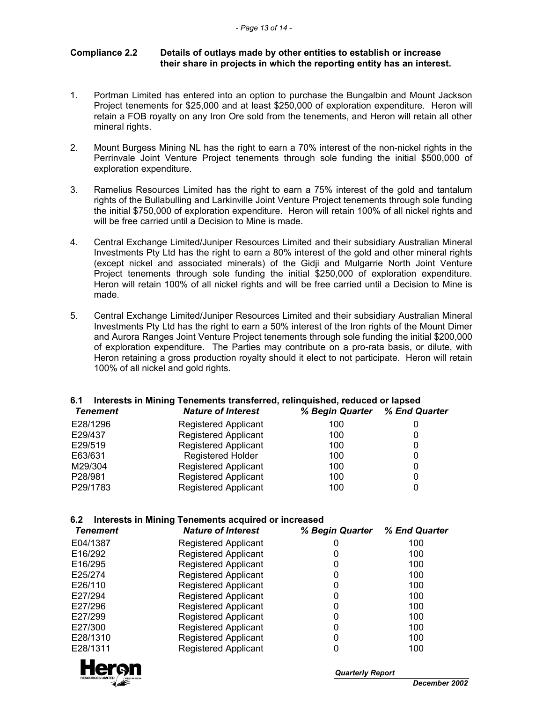### **Compliance 2.2 Details of outlays made by other entities to establish or increase their share in projects in which the reporting entity has an interest.**

- 1. Portman Limited has entered into an option to purchase the Bungalbin and Mount Jackson Project tenements for \$25,000 and at least \$250,000 of exploration expenditure. Heron will retain a FOB royalty on any Iron Ore sold from the tenements, and Heron will retain all other mineral rights.
- 2. Mount Burgess Mining NL has the right to earn a 70% interest of the non-nickel rights in the Perrinvale Joint Venture Project tenements through sole funding the initial \$500,000 of exploration expenditure.
- 3. Ramelius Resources Limited has the right to earn a 75% interest of the gold and tantalum rights of the Bullabulling and Larkinville Joint Venture Project tenements through sole funding the initial \$750,000 of exploration expenditure. Heron will retain 100% of all nickel rights and will be free carried until a Decision to Mine is made.
- 4. Central Exchange Limited/Juniper Resources Limited and their subsidiary Australian Mineral Investments Pty Ltd has the right to earn a 80% interest of the gold and other mineral rights (except nickel and associated minerals) of the Gidji and Mulgarrie North Joint Venture Project tenements through sole funding the initial \$250,000 of exploration expenditure. Heron will retain 100% of all nickel rights and will be free carried until a Decision to Mine is made.
- 5. Central Exchange Limited/Juniper Resources Limited and their subsidiary Australian Mineral Investments Pty Ltd has the right to earn a 50% interest of the Iron rights of the Mount Dimer and Aurora Ranges Joint Venture Project tenements through sole funding the initial \$200,000 of exploration expenditure. The Parties may contribute on a pro-rata basis, or dilute, with Heron retaining a gross production royalty should it elect to not participate. Heron will retain 100% of all nickel and gold rights.

# **6.1 Interests in Mining Tenements transferred, relinquished, reduced or lapsed**

| Tenement | <b>Nature of Interest</b>   | % Begin Quarter % End Quarter |   |
|----------|-----------------------------|-------------------------------|---|
| E28/1296 | <b>Registered Applicant</b> | 100                           |   |
| E29/437  | <b>Registered Applicant</b> | 100                           |   |
| E29/519  | <b>Registered Applicant</b> | 100                           | 0 |
| E63/631  | <b>Registered Holder</b>    | 100                           |   |
| M29/304  | <b>Registered Applicant</b> | 100                           | 0 |
| P28/981  | <b>Registered Applicant</b> | 100                           |   |
| P29/1783 | <b>Registered Applicant</b> | 100                           |   |

### **6.2 Interests in Mining Tenements acquired or increased**

| <b>Tenement</b> | <b>Nature of Interest</b>   | % Begin Quarter % End Quarter |     |
|-----------------|-----------------------------|-------------------------------|-----|
| E04/1387        | <b>Registered Applicant</b> |                               | 100 |
| E16/292         | <b>Registered Applicant</b> |                               | 100 |
| E16/295         | <b>Registered Applicant</b> |                               | 100 |
| E25/274         | <b>Registered Applicant</b> |                               | 100 |
| E26/110         | <b>Registered Applicant</b> |                               | 100 |
| E27/294         | <b>Registered Applicant</b> |                               | 100 |
| E27/296         | <b>Registered Applicant</b> |                               | 100 |
| E27/299         | <b>Registered Applicant</b> |                               | 100 |
| E27/300         | <b>Registered Applicant</b> | 0                             | 100 |
| E28/1310        | <b>Registered Applicant</b> | 0                             | 100 |
| E28/1311        | <b>Registered Applicant</b> |                               | 100 |



*Quarterly Report*